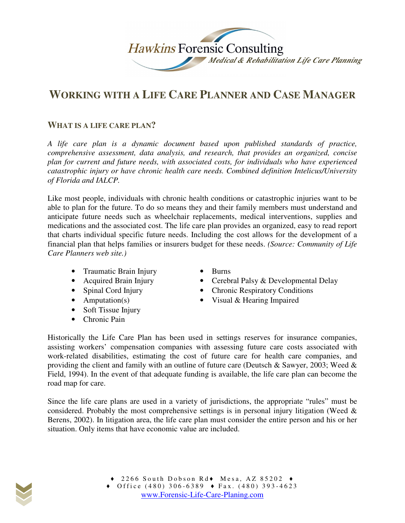

# **WORKING WITH A LIFE CARE PLANNER AND CASE MANAGER**

# **WHAT IS A LIFE CARE PLAN?**

*A life care plan is a dynamic document based upon published standards of practice, comprehensive assessment, data analysis, and research, that provides an organized, concise plan for current and future needs, with associated costs, for individuals who have experienced catastrophic injury or have chronic health care needs. Combined definition Intelicus/University of Florida and IALCP.* 

Like most people, individuals with chronic health conditions or catastrophic injuries want to be able to plan for the future. To do so means they and their family members must understand and anticipate future needs such as wheelchair replacements, medical interventions, supplies and medications and the associated cost. The life care plan provides an organized, easy to read report that charts individual specific future needs. Including the cost allows for the development of a financial plan that helps families or insurers budget for these needs. *(Source: Community of Life Care Planners web site.)* 

- Traumatic Brain Injury
- Acquired Brain Injury
- Spinal Cord Injury
- Amputation(s)
- Soft Tissue Injury
- Chronic Pain
- Burns
- Cerebral Palsy & Developmental Delay
- Chronic Respiratory Conditions
- Visual & Hearing Impaired

Historically the Life Care Plan has been used in settings reserves for insurance companies, assisting workers' compensation companies with assessing future care costs associated with work-related disabilities, estimating the cost of future care for health care companies, and providing the client and family with an outline of future care (Deutsch & Sawyer, 2003; Weed & Field, 1994). In the event of that adequate funding is available, the life care plan can become the road map for care.

Since the life care plans are used in a variety of jurisdictions, the appropriate "rules" must be considered. Probably the most comprehensive settings is in personal injury litigation (Weed & Berens, 2002). In litigation area, the life care plan must consider the entire person and his or her situation. Only items that have economic value are included.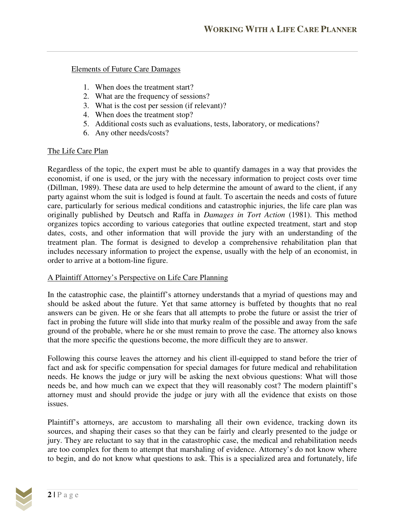Elements of Future Care Damages

- 1. When does the treatment start?
- 2. What are the frequency of sessions?
- 3. What is the cost per session (if relevant)?
- 4. When does the treatment stop?
- 5. Additional costs such as evaluations, tests, laboratory, or medications?
- 6. Any other needs/costs?

# The Life Care Plan

Regardless of the topic, the expert must be able to quantify damages in a way that provides the economist, if one is used, or the jury with the necessary information to project costs over time (Dillman, 1989). These data are used to help determine the amount of award to the client, if any party against whom the suit is lodged is found at fault. To ascertain the needs and costs of future care, particularly for serious medical conditions and catastrophic injuries, the life care plan was originally published by Deutsch and Raffa in *Damages in Tort Action* (1981). This method organizes topics according to various categories that outline expected treatment, start and stop dates, costs, and other information that will provide the jury with an understanding of the treatment plan. The format is designed to develop a comprehensive rehabilitation plan that includes necessary information to project the expense, usually with the help of an economist, in order to arrive at a bottom-line figure.

#### A Plaintiff Attorney's Perspective on Life Care Planning

In the catastrophic case, the plaintiff's attorney understands that a myriad of questions may and should be asked about the future. Yet that same attorney is buffeted by thoughts that no real answers can be given. He or she fears that all attempts to probe the future or assist the trier of fact in probing the future will slide into that murky realm of the possible and away from the safe ground of the probable, where he or she must remain to prove the case. The attorney also knows that the more specific the questions become, the more difficult they are to answer.

Following this course leaves the attorney and his client ill-equipped to stand before the trier of fact and ask for specific compensation for special damages for future medical and rehabilitation needs. He knows the judge or jury will be asking the next obvious questions: What will those needs be, and how much can we expect that they will reasonably cost? The modern plaintiff's attorney must and should provide the judge or jury with all the evidence that exists on those issues.

Plaintiff's attorneys, are accustom to marshaling all their own evidence, tracking down its sources, and shaping their cases so that they can be fairly and clearly presented to the judge or jury. They are reluctant to say that in the catastrophic case, the medical and rehabilitation needs are too complex for them to attempt that marshaling of evidence. Attorney's do not know where to begin, and do not know what questions to ask. This is a specialized area and fortunately, life

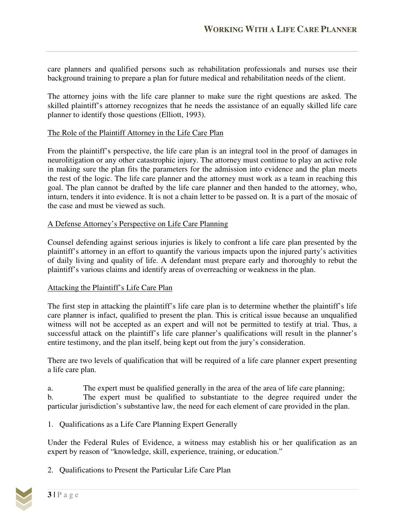care planners and qualified persons such as rehabilitation professionals and nurses use their background training to prepare a plan for future medical and rehabilitation needs of the client.

The attorney joins with the life care planner to make sure the right questions are asked. The skilled plaintiff's attorney recognizes that he needs the assistance of an equally skilled life care planner to identify those questions (Elliott, 1993).

# The Role of the Plaintiff Attorney in the Life Care Plan

From the plaintiff's perspective, the life care plan is an integral tool in the proof of damages in neurolitigation or any other catastrophic injury. The attorney must continue to play an active role in making sure the plan fits the parameters for the admission into evidence and the plan meets the rest of the logic. The life care planner and the attorney must work as a team in reaching this goal. The plan cannot be drafted by the life care planner and then handed to the attorney, who, inturn, tenders it into evidence. It is not a chain letter to be passed on. It is a part of the mosaic of the case and must be viewed as such.

# A Defense Attorney's Perspective on Life Care Planning

Counsel defending against serious injuries is likely to confront a life care plan presented by the plaintiff's attorney in an effort to quantify the various impacts upon the injured party's activities of daily living and quality of life. A defendant must prepare early and thoroughly to rebut the plaintiff's various claims and identify areas of overreaching or weakness in the plan.

#### Attacking the Plaintiff's Life Care Plan

The first step in attacking the plaintiff's life care plan is to determine whether the plaintiff's life care planner is infact, qualified to present the plan. This is critical issue because an unqualified witness will not be accepted as an expert and will not be permitted to testify at trial. Thus, a successful attack on the plaintiff's life care planner's qualifications will result in the planner's entire testimony, and the plan itself, being kept out from the jury's consideration.

There are two levels of qualification that will be required of a life care planner expert presenting a life care plan.

a. The expert must be qualified generally in the area of the area of life care planning; b. The expert must be qualified to substantiate to the degree required under the particular jurisdiction's substantive law, the need for each element of care provided in the plan.

1. Qualifications as a Life Care Planning Expert Generally

Under the Federal Rules of Evidence, a witness may establish his or her qualification as an expert by reason of "knowledge, skill, experience, training, or education."

2. Qualifications to Present the Particular Life Care Plan